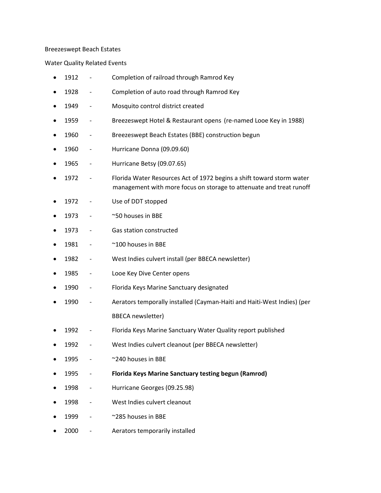## Breezeswept Beach Estates

Water Quality Related Events

| $\bullet$ | 1912 |                              | Completion of railroad through Ramrod Key                                                                                                    |
|-----------|------|------------------------------|----------------------------------------------------------------------------------------------------------------------------------------------|
|           | 1928 | $\overline{\phantom{0}}$     | Completion of auto road through Ramrod Key                                                                                                   |
|           | 1949 | $\qquad \qquad -$            | Mosquito control district created                                                                                                            |
| ٠         | 1959 | $\qquad \qquad -$            | Breezeswept Hotel & Restaurant opens (re-named Looe Key in 1988)                                                                             |
|           | 1960 |                              | Breezeswept Beach Estates (BBE) construction begun                                                                                           |
|           | 1960 | $\overline{\phantom{0}}$     | Hurricane Donna (09.09.60)                                                                                                                   |
|           | 1965 | $\qquad \qquad -$            | Hurricane Betsy (09.07.65)                                                                                                                   |
|           | 1972 |                              | Florida Water Resources Act of 1972 begins a shift toward storm water<br>management with more focus on storage to attenuate and treat runoff |
|           | 1972 |                              | Use of DDT stopped                                                                                                                           |
|           | 1973 |                              | ~50 houses in BBE                                                                                                                            |
|           | 1973 | $\qquad \qquad -$            | Gas station constructed                                                                                                                      |
|           | 1981 | $\qquad \qquad \blacksquare$ | ~100 houses in BBE                                                                                                                           |
|           | 1982 | $\qquad \qquad \blacksquare$ | West Indies culvert install (per BBECA newsletter)                                                                                           |
|           | 1985 | $\qquad \qquad -$            | Looe Key Dive Center opens                                                                                                                   |
|           | 1990 | $\overline{\phantom{0}}$     | Florida Keys Marine Sanctuary designated                                                                                                     |
|           | 1990 |                              | Aerators temporally installed (Cayman-Haiti and Haiti-West Indies) (per                                                                      |
|           |      |                              | <b>BBECA</b> newsletter)                                                                                                                     |
|           | 1992 | -                            | Florida Keys Marine Sanctuary Water Quality report published                                                                                 |
|           | 1992 |                              | West Indies culvert cleanout (per BBECA newsletter)                                                                                          |
|           | 1995 |                              | ~240 houses in BBE                                                                                                                           |
|           | 1995 |                              | <b>Florida Keys Marine Sanctuary testing begun (Ramrod)</b>                                                                                  |
|           | 1998 |                              | Hurricane Georges (09.25.98)                                                                                                                 |
|           | 1998 |                              | West Indies culvert cleanout                                                                                                                 |
|           | 1999 |                              | ~285 houses in BBE                                                                                                                           |
|           | 2000 |                              | Aerators temporarily installed                                                                                                               |